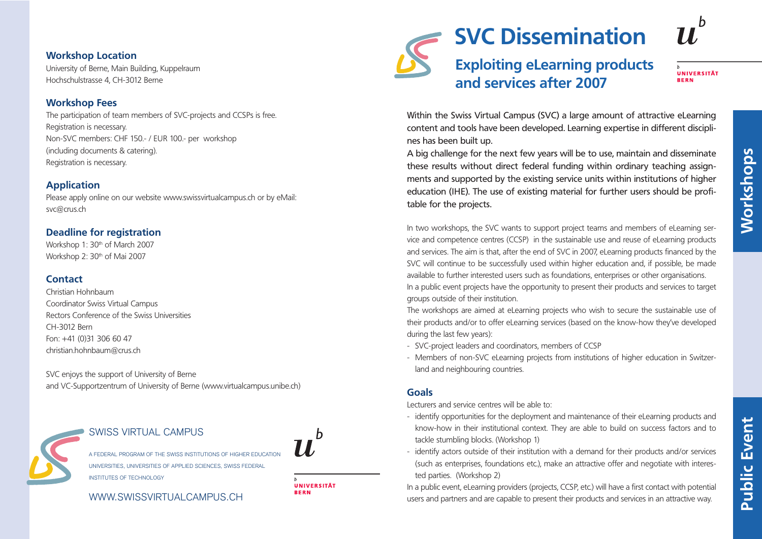#### **Workshop Location**

University of Berne, Main Building, Kuppelraum Hochschulstrasse 4, CH-3012 Berne

# **Workshop Fees**

The participation of team members of SVC-projects and CCSPs is free. Registration is necessary. Non-SVC members: CHF 150.- / EUR 100.- per workshop (including documents & catering). Registration is necessary.

# **Application**

Please apply online on our website www.swissvirtualcampus.ch or by eMail: svc@crus.ch

## **Deadline for registration**

Workshop 1: 30<sup>th</sup> of March 2007 Workshop 2: 30<sup>th</sup> of Mai 2007

## **Contact**

Christian Hohnbaum Coordinator Swiss Virtual Campus Rectors Conference of the Swiss Universities CH-3012 Bern Fon: +41 (0)31 306 60 47 christian.hohnbaum@crus.ch

SVC enjoys the support of University of Berne and VC-Supportzentrum of University of Berne (www.virtualcampus.unibe.ch)

# SWISS VIRTUAL CAMPUS

A FEDERAL PROGRAM OF THE SWISS INSTITUTIONS OF HIGHER EDUCATION UNIVERSITIES, UNIVERSITIES OF APPLIED SCIENCES, SWISS FEDERAL INSTITUTES OF TECHNOLOGY

# WWW.SWISSVIRTUALCAMPUS.CH



# **Exploiting eLearning products and services after 2007**

#### **UNIVERSITÄT DEDN**

Within the Swiss Virtual Campus (SVC) a large amount of attractive eLearning content and tools have been developed. Learning expertise in different disciplines has been built up.

A big challenge for the next few years will be to use, maintain and disseminate these results without direct federal funding within ordinary teaching assignments and supported by the existing service units within institutions of higher education (IHE). The use of existing material for further users should be profitable for the projects.

In two workshops, the SVC wants to support project teams and members of eLearning service and competence centres (CCSP) in the sustainable use and reuse of eLearning products and services. The aim is that, after the end of SVC in 2007, eLearning products financed by the SVC will continue to be successfully used within higher education and, if possible, be made available to further interested users such as foundations, enterprises or other organisations. In a public event projects have the opportunity to present their products and services to target groups outside of their institution.

The workshops are aimed at eLearning projects who wish to secure the sustainable use of their products and/or to offer eLearning services (based on the know-how they've developed during the last few years):

- SVC-project leaders and coordinators, members of CCSP
- Members of non-SVC eLearning projects from institutions of higher education in Switzerland and neighbouring countries.

## **Goals**

Lecturers and service centres will be able to:

- identify opportunities for the deployment and maintenance of their eLearning products and know-how in their institutional context. They are able to build on success factors and to tackle stumbling blocks. (Workshop 1)
- identify actors outside of their institution with a demand for their products and/or services (such as enterprises, foundations etc.), make an attractive offer and negotiate with interested parties. (Workshop 2)

In a public event, eLearning providers (projects, CCSP, etc.) will have a first contact with potential users and partners and are capable to present their products and services in an attractive way.



**RERN**